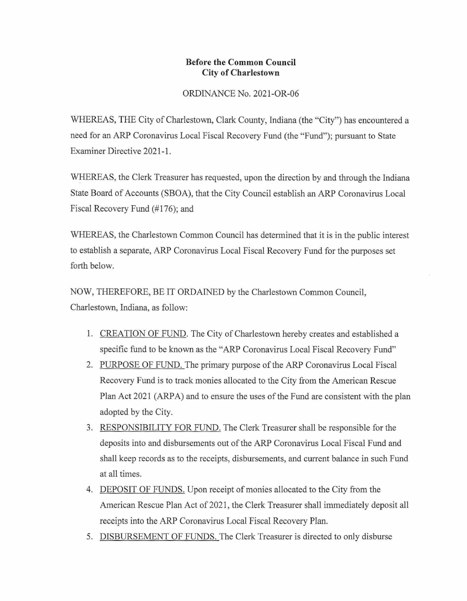## **Before the Common Council City of Charlestown**

## ORDINANCE No. 2021-OR-06

WHEREAS, THE City of Charlestown, Clark County, Indiana (the "City") has encountered a need for an ARP Coronavirus Local Fiscal Recovery Fund (the "Fund"); pursuant to State Examiner Directive 2021-1.

WHEREAS, the Clerk Treasurer has requested, upon the direction by and through the Indiana State Board of Accounts (SBOA), that the City Council establish an ARP Coronavirus Local Fiscal Recovery Fund (#176); and

WHEREAS, the Charlestown Common Council has determined that it is in the public interest to establish a separate, ARP Coronavirus Local Fiscal Recovery Fund for the purposes set forth below.

NOW, THEREFORE, BE IT ORDAINED by the Charlestown Common Council, Charlestown, Indiana, as follow:

- 1. CREATION OF FUND. The City of Charlestown hereby creates and established a specific fund to be known as the "ARP Coronavirus Local Fiscal Recovery Fund"
- 2. PURPOSE OF FUND. The primary purpose of the ARP Coronavirus Local Fiscal Recovery Fund is to track monies allocated to the City from the American Rescue Plan Act 2021 (ARPA) and to ensure the uses of the Fund are consistent with the plan adopted by the City.
- 3. RESPONSIBILITY FOR FUND. The Clerk Treasurer shall be responsible for the deposits into and disbursements out of the ARP Coronavirus Local Fiscal Fund and shall keep records as to the receipts, disbursements, and current balance in such Fund at all times.
- 4. DEPOSIT OF FUNDS. Upon receipt of monies allocated to the City from the American Rescue Plan Act of 2021, the Clerk Treasurer shall immediately deposit all receipts into the ARP Coronavirus Local Fiscal Recovery Plan.
- 5. DISBURSEMENT OF FUNDS. The Clerk Treasurer is directed to only disburse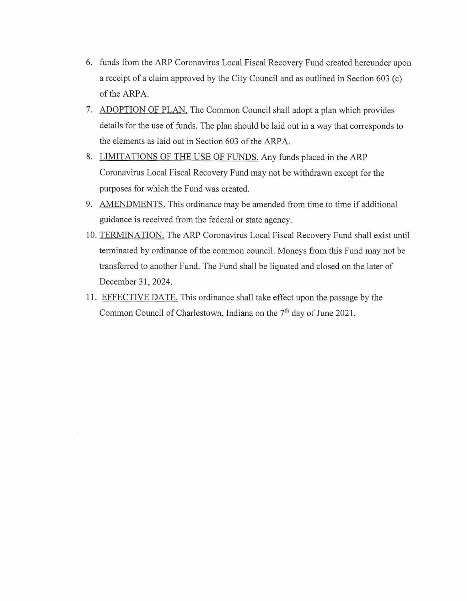- 6. funds from the ARP Coronavirus Local Fiscal Recovery Fund created hereunder upon a receipt of a claim approved by the City Council and as outlined in Section 603 (c) of the ARPA.
- 7. ADOPTION OF PLAN. The Common Council shall adopt a plan which provides details for the use of funds. The plan should be laid out in a way that corresponds to the elements as laid out in Section 603 of the ARPA.
- 8. LIMITATIONS OF THE USE OF FUNDS. Any funds placed in the ARP Coronavirus Local Fiscal Recovery Fund may not be withdrawn except for the purposes for which the Fund was created.
- 9. AMENDMENTS. This ordinance may be amended from time to time if additional guidance is received from the federal or state agency.
- 10. TERMINATION. The ARP Coronavirus Local Fiscal Recovery Fund shall exist until terminated by ordinance of the common council. Moneys from this Fund may not be transferred to another Fund. The Fund shall be liquated and closed on the later of December 31, 2024.
- 11. EFFECTIVE DATE. This ordinance shall take effect upon the passage by the Common Council of Charlestown, Indiana on the 7<sup>th</sup> day of June 2021.